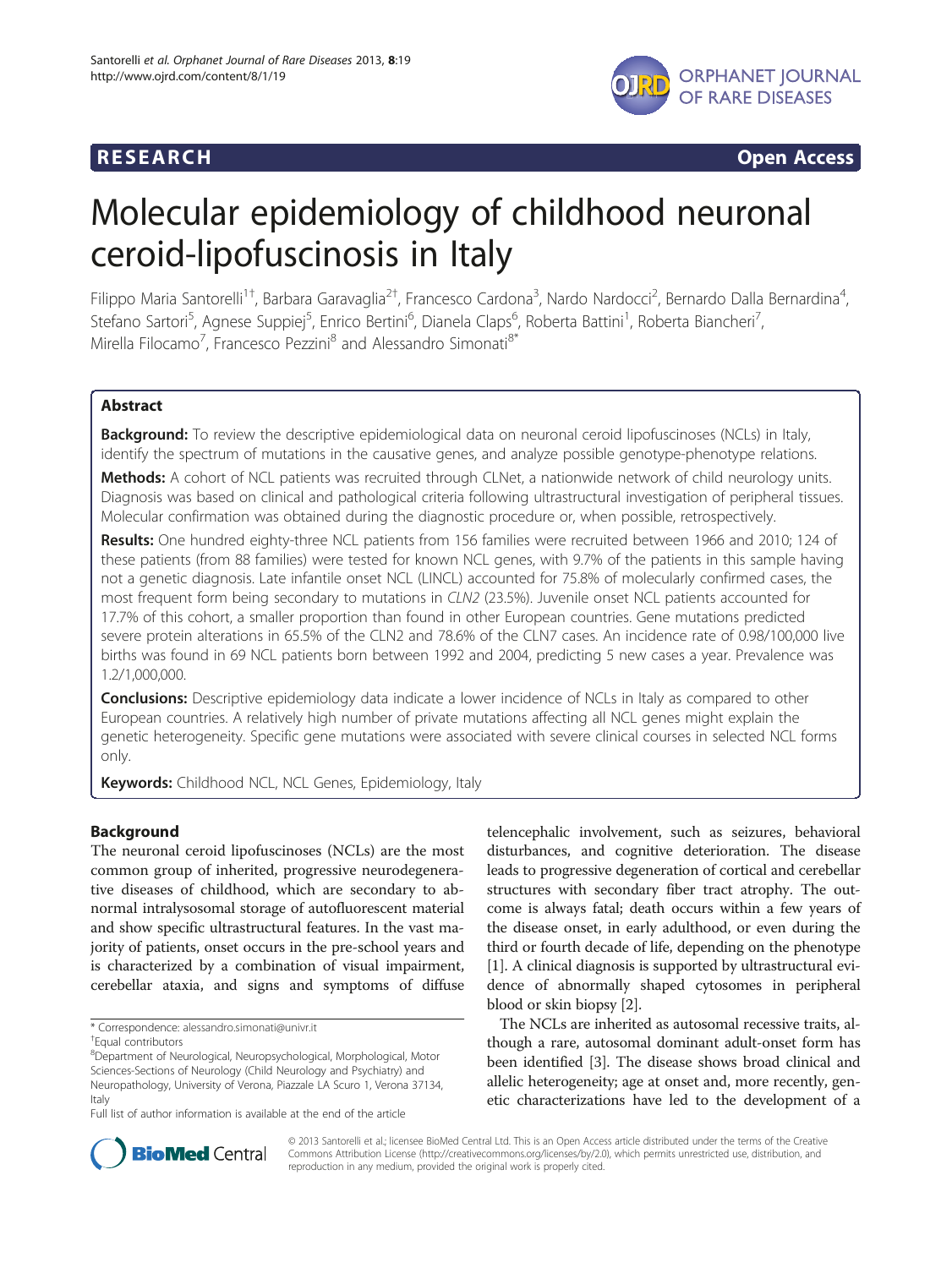

**RESEARCH CHINESEARCH CHINESEARCH CHINESE** 

# Molecular epidemiology of childhood neuronal ceroid-lipofuscinosis in Italy

Filippo Maria Santorelli<sup>1†</sup>, Barbara Garavaglia<sup>2†</sup>, Francesco Cardona<sup>3</sup>, Nardo Nardocci<sup>2</sup>, Bernardo Dalla Bernardina<sup>4</sup> , Stefano Sartori<sup>5</sup>, Agnese Suppiej<sup>5</sup>, Enrico Bertini<sup>6</sup>, Dianela Claps<sup>6</sup>, Roberta Battini<sup>1</sup>, Roberta Biancheri<sup>7</sup> , Mirella Filocamo<sup>7</sup>, Francesco Pezzini<sup>8</sup> and Alessandro Simonati<sup>8\*</sup>

# Abstract

**Background:** To review the descriptive epidemiological data on neuronal ceroid lipofuscinoses (NCLs) in Italy, identify the spectrum of mutations in the causative genes, and analyze possible genotype-phenotype relations.

Methods: A cohort of NCL patients was recruited through CLNet, a nationwide network of child neurology units. Diagnosis was based on clinical and pathological criteria following ultrastructural investigation of peripheral tissues. Molecular confirmation was obtained during the diagnostic procedure or, when possible, retrospectively.

Results: One hundred eighty-three NCL patients from 156 families were recruited between 1966 and 2010; 124 of these patients (from 88 families) were tested for known NCL genes, with 9.7% of the patients in this sample having not a genetic diagnosis. Late infantile onset NCL (LINCL) accounted for 75.8% of molecularly confirmed cases, the most frequent form being secondary to mutations in CLN2 (23.5%). Juvenile onset NCL patients accounted for 17.7% of this cohort, a smaller proportion than found in other European countries. Gene mutations predicted severe protein alterations in 65.5% of the CLN2 and 78.6% of the CLN7 cases. An incidence rate of 0.98/100,000 live births was found in 69 NCL patients born between 1992 and 2004, predicting 5 new cases a year. Prevalence was 1.2/1,000,000.

**Conclusions:** Descriptive epidemiology data indicate a lower incidence of NCLs in Italy as compared to other European countries. A relatively high number of private mutations affecting all NCL genes might explain the genetic heterogeneity. Specific gene mutations were associated with severe clinical courses in selected NCL forms only.

Keywords: Childhood NCL, NCL Genes, Epidemiology, Italy

# Background

The neuronal ceroid lipofuscinoses (NCLs) are the most common group of inherited, progressive neurodegenerative diseases of childhood, which are secondary to abnormal intralysosomal storage of autofluorescent material and show specific ultrastructural features. In the vast majority of patients, onset occurs in the pre-school years and is characterized by a combination of visual impairment, cerebellar ataxia, and signs and symptoms of diffuse

telencephalic involvement, such as seizures, behavioral disturbances, and cognitive deterioration. The disease leads to progressive degeneration of cortical and cerebellar structures with secondary fiber tract atrophy. The outcome is always fatal; death occurs within a few years of the disease onset, in early adulthood, or even during the third or fourth decade of life, depending on the phenotype [[1\]](#page-5-0). A clinical diagnosis is supported by ultrastructural evidence of abnormally shaped cytosomes in peripheral blood or skin biopsy [[2](#page-5-0)].

The NCLs are inherited as autosomal recessive traits, although a rare, autosomal dominant adult-onset form has been identified [[3\]](#page-5-0). The disease shows broad clinical and allelic heterogeneity; age at onset and, more recently, genetic characterizations have led to the development of a



© 2013 Santorelli et al.; licensee BioMed Central Ltd. This is an Open Access article distributed under the terms of the Creative Commons Attribution License [\(http://creativecommons.org/licenses/by/2.0\)](http://creativecommons.org/licenses/by/2.0), which permits unrestricted use, distribution, and reproduction in any medium, provided the original work is properly cited.

<sup>\*</sup> Correspondence: [alessandro.simonati@univr.it](mailto:alessandro.simonati@univr.it) †

Equal contributors

<sup>8</sup> Department of Neurological, Neuropsychological, Morphological, Motor Sciences-Sections of Neurology (Child Neurology and Psychiatry) and Neuropathology, University of Verona, Piazzale LA Scuro 1, Verona 37134, **Italy** 

Full list of author information is available at the end of the article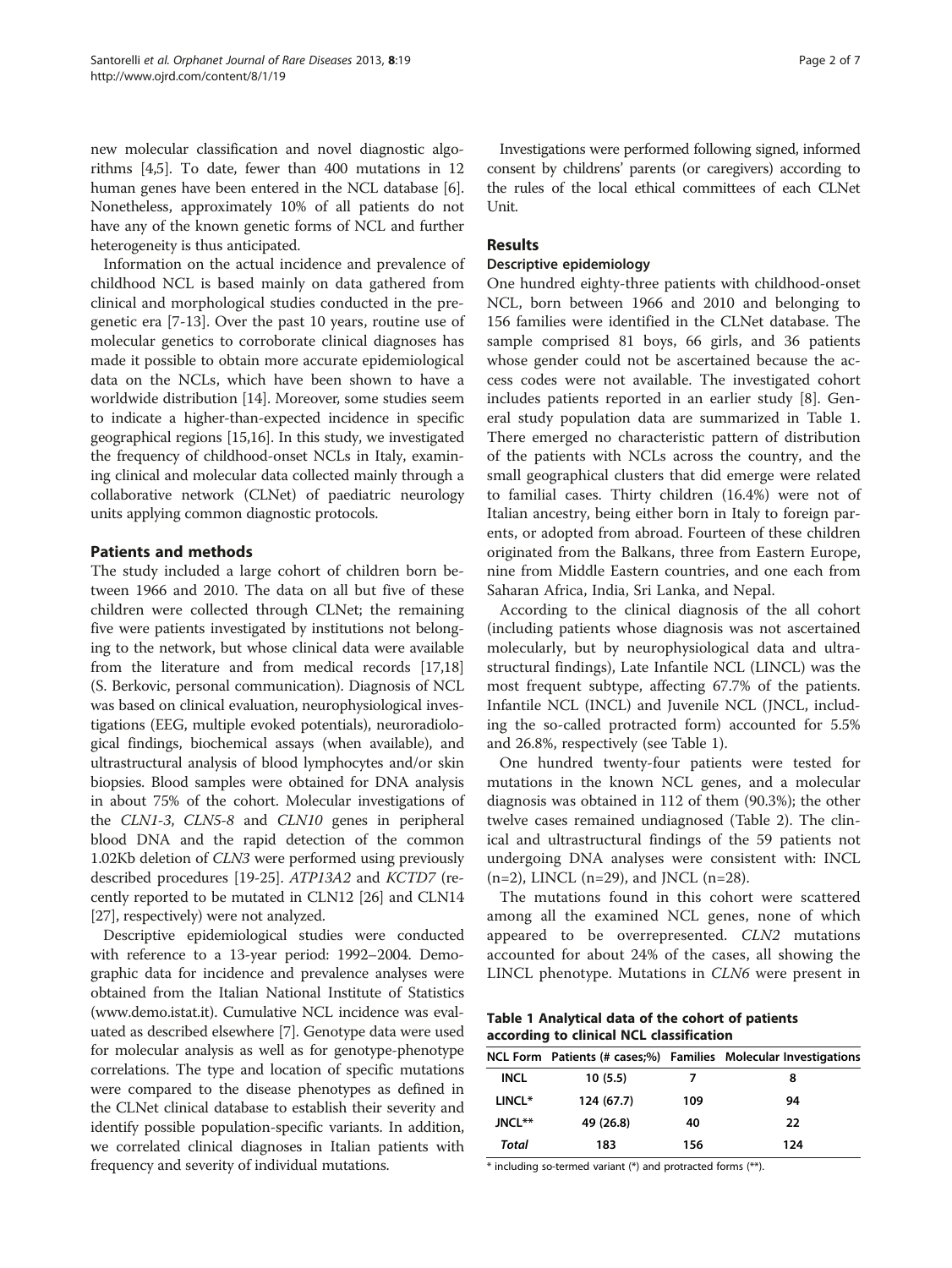<span id="page-1-0"></span>new molecular classification and novel diagnostic algorithms [\[4,5\]](#page-5-0). To date, fewer than 400 mutations in 12 human genes have been entered in the NCL database [[6](#page-5-0)]. Nonetheless, approximately 10% of all patients do not have any of the known genetic forms of NCL and further heterogeneity is thus anticipated.

Information on the actual incidence and prevalence of childhood NCL is based mainly on data gathered from clinical and morphological studies conducted in the pregenetic era [[7-13\]](#page-5-0). Over the past 10 years, routine use of molecular genetics to corroborate clinical diagnoses has made it possible to obtain more accurate epidemiological data on the NCLs, which have been shown to have a worldwide distribution [\[14](#page-5-0)]. Moreover, some studies seem to indicate a higher-than-expected incidence in specific geographical regions [\[15,16](#page-6-0)]. In this study, we investigated the frequency of childhood-onset NCLs in Italy, examining clinical and molecular data collected mainly through a collaborative network (CLNet) of paediatric neurology units applying common diagnostic protocols.

# Patients and methods

The study included a large cohort of children born between 1966 and 2010. The data on all but five of these children were collected through CLNet; the remaining five were patients investigated by institutions not belonging to the network, but whose clinical data were available from the literature and from medical records [\[17,18](#page-6-0)] (S. Berkovic, personal communication). Diagnosis of NCL was based on clinical evaluation, neurophysiological investigations (EEG, multiple evoked potentials), neuroradiological findings, biochemical assays (when available), and ultrastructural analysis of blood lymphocytes and/or skin biopsies. Blood samples were obtained for DNA analysis in about 75% of the cohort. Molecular investigations of the CLN1-3, CLN5-8 and CLN10 genes in peripheral blood DNA and the rapid detection of the common 1.02Kb deletion of CLN3 were performed using previously described procedures [[19](#page-6-0)-[25](#page-6-0)]. ATP13A2 and KCTD7 (recently reported to be mutated in CLN12 [[26](#page-6-0)] and CLN14 [[27](#page-6-0)], respectively) were not analyzed.

Descriptive epidemiological studies were conducted with reference to a 13-year period: 1992–2004. Demographic data for incidence and prevalence analyses were obtained from the Italian National Institute of Statistics ([www.demo.istat.it\)](http://www.demo.istat.it/). Cumulative NCL incidence was evaluated as described elsewhere [\[7](#page-5-0)]. Genotype data were used for molecular analysis as well as for genotype-phenotype correlations. The type and location of specific mutations were compared to the disease phenotypes as defined in the CLNet clinical database to establish their severity and identify possible population-specific variants. In addition, we correlated clinical diagnoses in Italian patients with frequency and severity of individual mutations.

Investigations were performed following signed, informed consent by childrens' parents (or caregivers) according to the rules of the local ethical committees of each CLNet Unit.

# Results

# Descriptive epidemiology

One hundred eighty-three patients with childhood-onset NCL, born between 1966 and 2010 and belonging to 156 families were identified in the CLNet database. The sample comprised 81 boys, 66 girls, and 36 patients whose gender could not be ascertained because the access codes were not available. The investigated cohort includes patients reported in an earlier study [\[8](#page-5-0)]. General study population data are summarized in Table 1. There emerged no characteristic pattern of distribution of the patients with NCLs across the country, and the small geographical clusters that did emerge were related to familial cases. Thirty children (16.4%) were not of Italian ancestry, being either born in Italy to foreign parents, or adopted from abroad. Fourteen of these children originated from the Balkans, three from Eastern Europe, nine from Middle Eastern countries, and one each from Saharan Africa, India, Sri Lanka, and Nepal.

According to the clinical diagnosis of the all cohort (including patients whose diagnosis was not ascertained molecularly, but by neurophysiological data and ultrastructural findings), Late Infantile NCL (LINCL) was the most frequent subtype, affecting 67.7% of the patients. Infantile NCL (INCL) and Juvenile NCL (JNCL, including the so-called protracted form) accounted for 5.5% and 26.8%, respectively (see Table 1).

One hundred twenty-four patients were tested for mutations in the known NCL genes, and a molecular diagnosis was obtained in 112 of them (90.3%); the other twelve cases remained undiagnosed (Table [2\)](#page-2-0). The clinical and ultrastructural findings of the 59 patients not undergoing DNA analyses were consistent with: INCL  $(n=2)$ , LINCL  $(n=29)$ , and JNCL  $(n=28)$ .

The mutations found in this cohort were scattered among all the examined NCL genes, none of which appeared to be overrepresented. CLN2 mutations accounted for about 24% of the cases, all showing the LINCL phenotype. Mutations in CLN6 were present in

Table 1 Analytical data of the cohort of patients according to clinical NCL classification

|        |            |     | NCL Form Patients (# cases;%) Families Molecular Investigations |
|--------|------------|-----|-----------------------------------------------------------------|
| INCL   | 10(5.5)    |     | 8                                                               |
| LINCL* | 124 (67.7) | 109 | 94                                                              |
| JNCL** | 49 (26.8)  | 40  | 22                                                              |
| Total  | 183        | 156 | 124                                                             |

\* including so-termed variant (\*) and protracted forms (\*\*).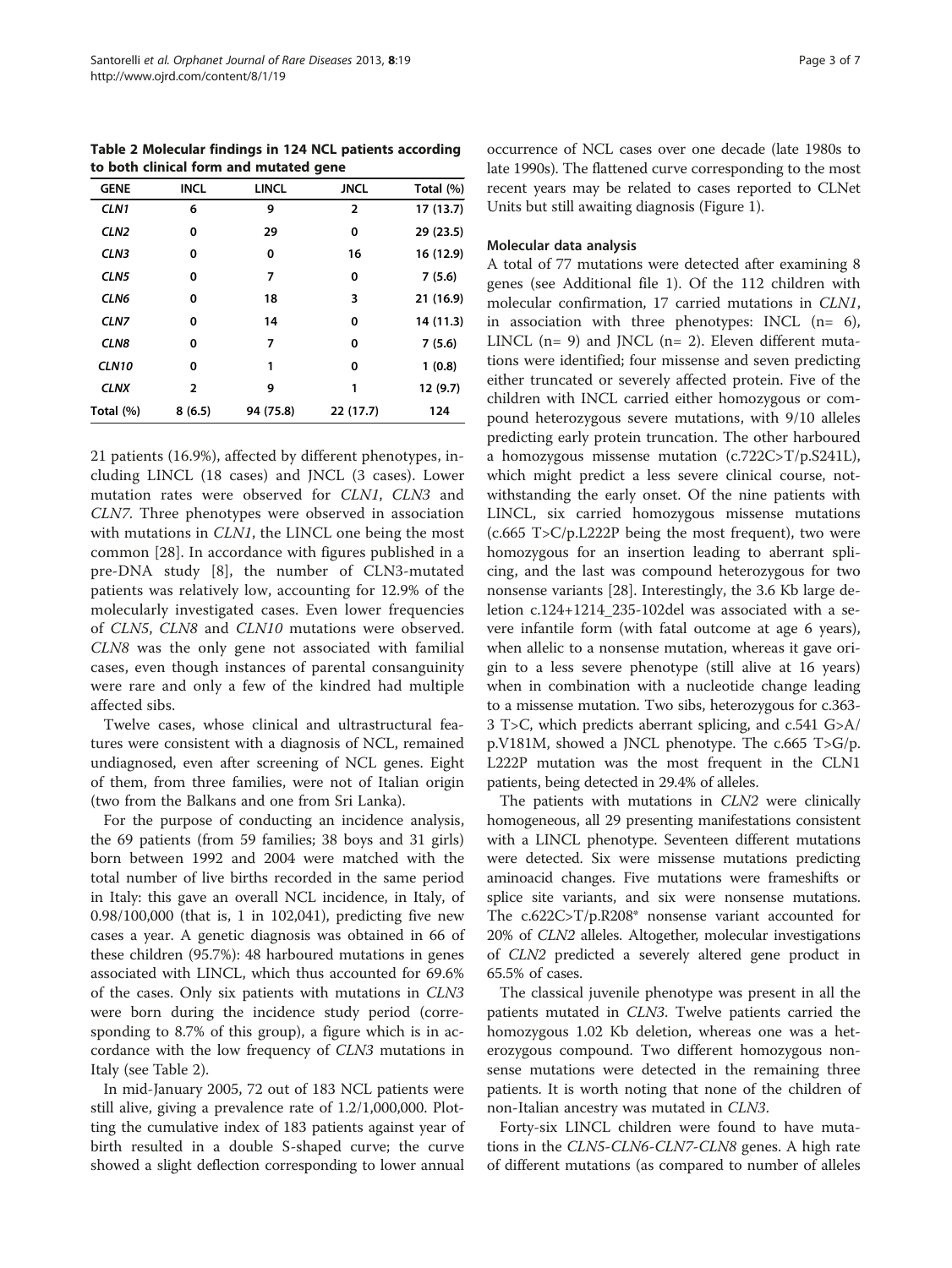<span id="page-2-0"></span>Table 2 Molecular findings in 124 NCL patients according to both clinical form and mutated gene

| <b>GENE</b>      | <b>INCL</b>    | <b>LINCL</b> | <b>JNCL</b>    | Total (%) |
|------------------|----------------|--------------|----------------|-----------|
| CLN <sub>1</sub> | 6              | 9            | $\overline{2}$ | 17(13.7)  |
| CLN <sub>2</sub> | 0              | 29           | 0              | 29 (23.5) |
| CLN <sub>3</sub> | 0              | 0            | 16             | 16 (12.9) |
| CLN5             | 0              | 7            | 0              | 7(5.6)    |
| CLN6             | $\Omega$       | 18           | 3              | 21 (16.9) |
| <b>CLN7</b>      | 0              | 14           | 0              | 14 (11.3) |
| CLN8             | 0              | 7            | 0              | 7(5.6)    |
| CLN10            | 0              | 1            | 0              | 1(0.8)    |
| <b>CLNX</b>      | $\overline{2}$ | 9            | 1              | 12 (9.7)  |
| Total (%)        | 8(6.5)         | 94 (75.8)    | 22 (17.7)      | 124       |
|                  |                |              |                |           |

21 patients (16.9%), affected by different phenotypes, including LINCL (18 cases) and JNCL (3 cases). Lower mutation rates were observed for CLN1, CLN3 and CLN7. Three phenotypes were observed in association with mutations in *CLN1*, the LINCL one being the most common [[28\]](#page-6-0). In accordance with figures published in a pre-DNA study [\[8](#page-5-0)], the number of CLN3-mutated patients was relatively low, accounting for 12.9% of the molecularly investigated cases. Even lower frequencies of CLN5, CLN8 and CLN10 mutations were observed. CLN8 was the only gene not associated with familial cases, even though instances of parental consanguinity were rare and only a few of the kindred had multiple affected sibs.

Twelve cases, whose clinical and ultrastructural features were consistent with a diagnosis of NCL, remained undiagnosed, even after screening of NCL genes. Eight of them, from three families, were not of Italian origin (two from the Balkans and one from Sri Lanka).

For the purpose of conducting an incidence analysis, the 69 patients (from 59 families; 38 boys and 31 girls) born between 1992 and 2004 were matched with the total number of live births recorded in the same period in Italy: this gave an overall NCL incidence, in Italy, of 0.98/100,000 (that is, 1 in 102,041), predicting five new cases a year. A genetic diagnosis was obtained in 66 of these children (95.7%): 48 harboured mutations in genes associated with LINCL, which thus accounted for 69.6% of the cases. Only six patients with mutations in CLN3 were born during the incidence study period (corresponding to 8.7% of this group), a figure which is in accordance with the low frequency of CLN3 mutations in Italy (see Table 2).

In mid-January 2005, 72 out of 183 NCL patients were still alive, giving a prevalence rate of 1.2/1,000,000. Plotting the cumulative index of 183 patients against year of birth resulted in a double S-shaped curve; the curve showed a slight deflection corresponding to lower annual

occurrence of NCL cases over one decade (late 1980s to late 1990s). The flattened curve corresponding to the most recent years may be related to cases reported to CLNet Units but still awaiting diagnosis (Figure [1](#page-3-0)).

### Molecular data analysis

A total of 77 mutations were detected after examining 8 genes (see Additional file [1](#page-5-0)). Of the 112 children with molecular confirmation, 17 carried mutations in CLN1, in association with three phenotypes: INCL (n= 6), LINCL  $(n= 9)$  and JNCL  $(n= 2)$ . Eleven different mutations were identified; four missense and seven predicting either truncated or severely affected protein. Five of the children with INCL carried either homozygous or compound heterozygous severe mutations, with 9/10 alleles predicting early protein truncation. The other harboured a homozygous missense mutation (c.722C>T/p.S241L), which might predict a less severe clinical course, notwithstanding the early onset. Of the nine patients with LINCL, six carried homozygous missense mutations  $(c.665$  T>C/p.L222P being the most frequent), two were homozygous for an insertion leading to aberrant splicing, and the last was compound heterozygous for two nonsense variants [[28](#page-6-0)]. Interestingly, the 3.6 Kb large deletion c.124+1214\_235-102del was associated with a severe infantile form (with fatal outcome at age 6 years), when allelic to a nonsense mutation, whereas it gave origin to a less severe phenotype (still alive at 16 years) when in combination with a nucleotide change leading to a missense mutation. Two sibs, heterozygous for c.363- 3 T>C, which predicts aberrant splicing, and c.541 G>A/ p.V181M, showed a JNCL phenotype. The c.665 T>G/p. L222P mutation was the most frequent in the CLN1 patients, being detected in 29.4% of alleles.

The patients with mutations in CLN2 were clinically homogeneous, all 29 presenting manifestations consistent with a LINCL phenotype. Seventeen different mutations were detected. Six were missense mutations predicting aminoacid changes. Five mutations were frameshifts or splice site variants, and six were nonsense mutations. The c.622C>T/p.R208\* nonsense variant accounted for 20% of CLN2 alleles. Altogether, molecular investigations of CLN2 predicted a severely altered gene product in 65.5% of cases.

The classical juvenile phenotype was present in all the patients mutated in CLN3. Twelve patients carried the homozygous 1.02 Kb deletion, whereas one was a heterozygous compound. Two different homozygous nonsense mutations were detected in the remaining three patients. It is worth noting that none of the children of non-Italian ancestry was mutated in CLN3.

Forty-six LINCL children were found to have mutations in the CLN5-CLN6-CLN7-CLN8 genes. A high rate of different mutations (as compared to number of alleles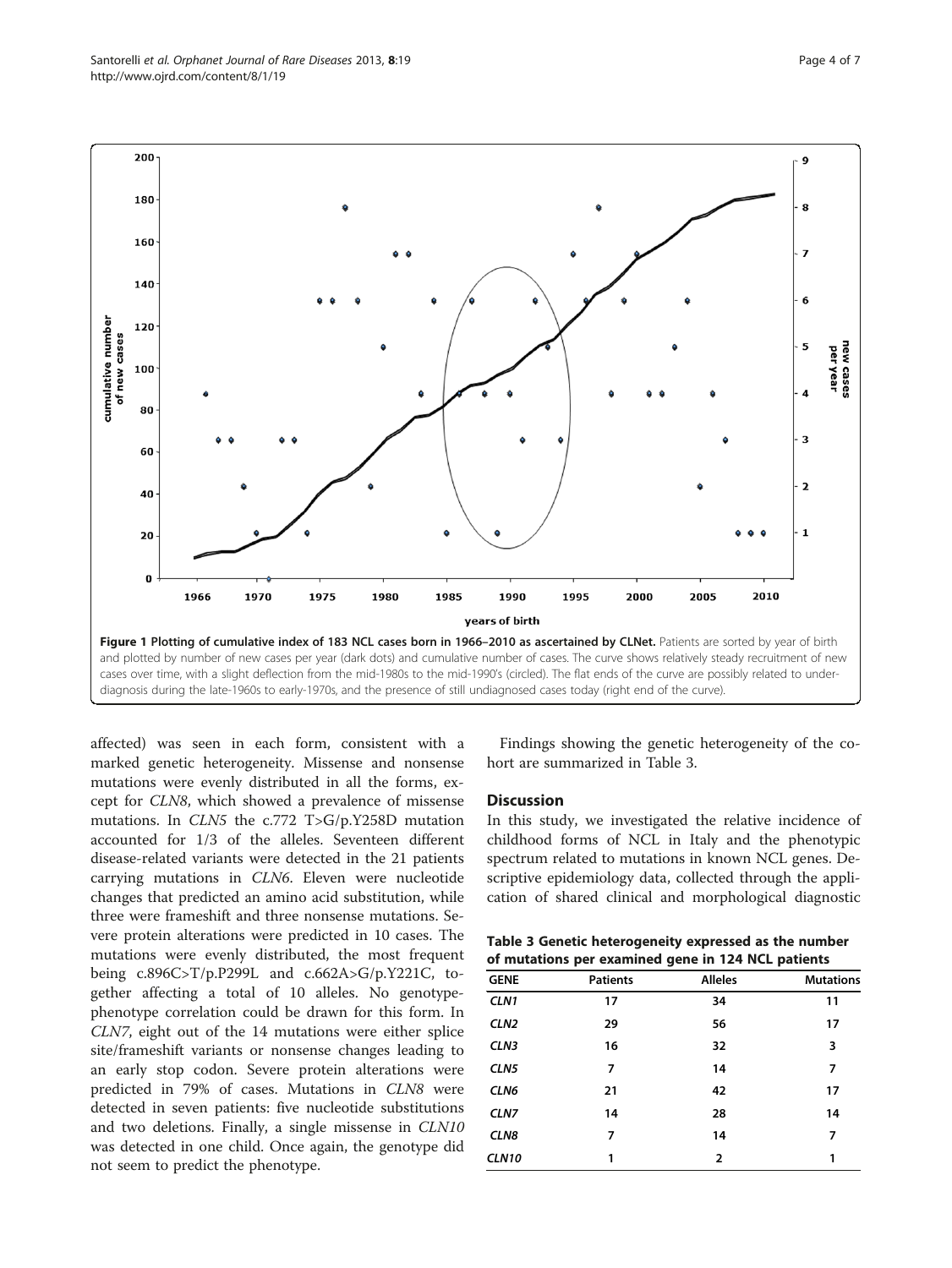<span id="page-3-0"></span>Santorelli et al. Orphanet Journal of Rare Diseases 2013, 8:19 Page 4 of 7 http://www.ojrd.com/content/8/1/19



affected) was seen in each form, consistent with a marked genetic heterogeneity. Missense and nonsense mutations were evenly distributed in all the forms, except for CLN8, which showed a prevalence of missense mutations. In CLN5 the c.772 T>G/p.Y258D mutation accounted for 1/3 of the alleles. Seventeen different disease-related variants were detected in the 21 patients carrying mutations in CLN6. Eleven were nucleotide changes that predicted an amino acid substitution, while three were frameshift and three nonsense mutations. Severe protein alterations were predicted in 10 cases. The mutations were evenly distributed, the most frequent being c.896C>T/p.P299L and c.662A>G/p.Y221C, together affecting a total of 10 alleles. No genotypephenotype correlation could be drawn for this form. In CLN7, eight out of the 14 mutations were either splice site/frameshift variants or nonsense changes leading to an early stop codon. Severe protein alterations were predicted in 79% of cases. Mutations in CLN8 were detected in seven patients: five nucleotide substitutions and two deletions. Finally, a single missense in CLN10 was detected in one child. Once again, the genotype did not seem to predict the phenotype.

Findings showing the genetic heterogeneity of the cohort are summarized in Table 3.

# **Discussion**

In this study, we investigated the relative incidence of childhood forms of NCL in Italy and the phenotypic spectrum related to mutations in known NCL genes. Descriptive epidemiology data, collected through the application of shared clinical and morphological diagnostic

| Table 3 Genetic heterogeneity expressed as the number |
|-------------------------------------------------------|
| of mutations per examined gene in 124 NCL patients    |

| <b>GENE</b>      | <b>Patients</b> | <b>Alleles</b> | <b>Mutations</b> |
|------------------|-----------------|----------------|------------------|
| CLN1             | 17              | 34             | 11               |
| CLN <sub>2</sub> | 29              | 56             | 17               |
| CLN3             | 16              | 32             | 3                |
| CLN5             | 7               | 14             | 7                |
| CLN6             | 21              | 42             | 17               |
| CLN7             | 14              | 28             | 14               |
| CLN8             | 7               | 14             | 7                |
| <b>CLN10</b>     | 1               | $\overline{2}$ | 1                |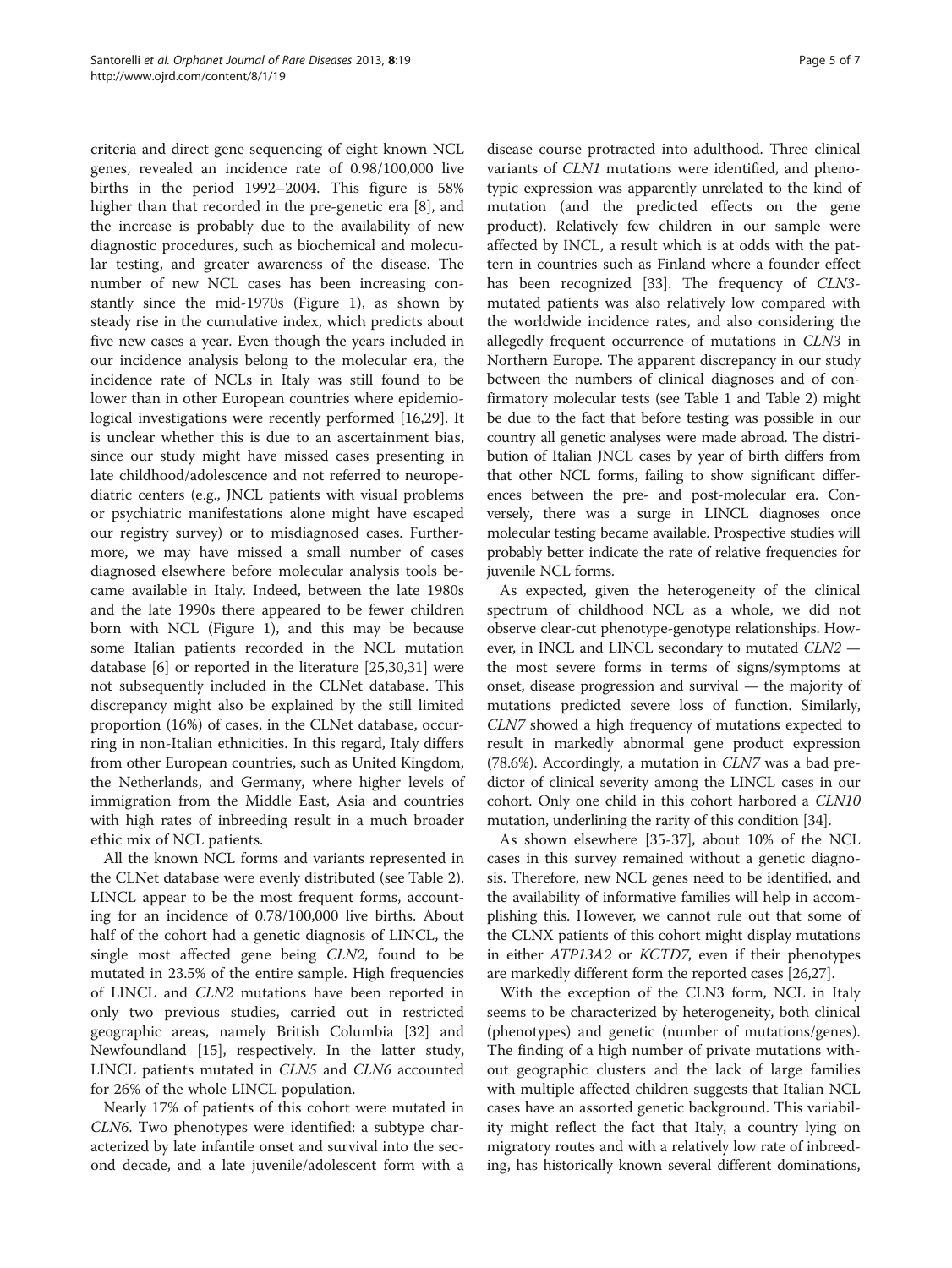criteria and direct gene sequencing of eight known NCL genes, revealed an incidence rate of 0.98/100,000 live births in the period 1992–2004. This figure is 58% higher than that recorded in the pre-genetic era [[8\]](#page-5-0), and the increase is probably due to the availability of new diagnostic procedures, such as biochemical and molecular testing, and greater awareness of the disease. The number of new NCL cases has been increasing constantly since the mid-1970s (Figure [1](#page-3-0)), as shown by steady rise in the cumulative index, which predicts about five new cases a year. Even though the years included in our incidence analysis belong to the molecular era, the incidence rate of NCLs in Italy was still found to be lower than in other European countries where epidemiological investigations were recently performed [[16,29](#page-6-0)]. It is unclear whether this is due to an ascertainment bias, since our study might have missed cases presenting in late childhood/adolescence and not referred to neuropediatric centers (e.g., JNCL patients with visual problems or psychiatric manifestations alone might have escaped our registry survey) or to misdiagnosed cases. Furthermore, we may have missed a small number of cases diagnosed elsewhere before molecular analysis tools became available in Italy. Indeed, between the late 1980s and the late 1990s there appeared to be fewer children born with NCL (Figure [1\)](#page-3-0), and this may be because some Italian patients recorded in the NCL mutation database [\[6](#page-5-0)] or reported in the literature [\[25,30,31\]](#page-6-0) were not subsequently included in the CLNet database. This discrepancy might also be explained by the still limited proportion (16%) of cases, in the CLNet database, occurring in non-Italian ethnicities. In this regard, Italy differs from other European countries, such as United Kingdom, the Netherlands, and Germany, where higher levels of immigration from the Middle East, Asia and countries with high rates of inbreeding result in a much broader ethic mix of NCL patients.

All the known NCL forms and variants represented in the CLNet database were evenly distributed (see Table [2](#page-2-0)). LINCL appear to be the most frequent forms, accounting for an incidence of 0.78/100,000 live births. About half of the cohort had a genetic diagnosis of LINCL, the single most affected gene being CLN2, found to be mutated in 23.5% of the entire sample. High frequencies of LINCL and CLN2 mutations have been reported in only two previous studies, carried out in restricted geographic areas, namely British Columbia [\[32\]](#page-6-0) and Newfoundland [[15](#page-6-0)], respectively. In the latter study, LINCL patients mutated in CLN5 and CLN6 accounted for 26% of the whole LINCL population.

Nearly 17% of patients of this cohort were mutated in CLN6. Two phenotypes were identified: a subtype characterized by late infantile onset and survival into the second decade, and a late juvenile/adolescent form with a

disease course protracted into adulthood. Three clinical variants of CLN1 mutations were identified, and phenotypic expression was apparently unrelated to the kind of mutation (and the predicted effects on the gene product). Relatively few children in our sample were affected by INCL, a result which is at odds with the pattern in countries such as Finland where a founder effect has been recognized [\[33\]](#page-6-0). The frequency of CLN3 mutated patients was also relatively low compared with the worldwide incidence rates, and also considering the allegedly frequent occurrence of mutations in CLN3 in Northern Europe. The apparent discrepancy in our study between the numbers of clinical diagnoses and of confirmatory molecular tests (see Table [1](#page-1-0) and Table [2\)](#page-2-0) might be due to the fact that before testing was possible in our country all genetic analyses were made abroad. The distribution of Italian JNCL cases by year of birth differs from that other NCL forms, failing to show significant differences between the pre- and post-molecular era. Conversely, there was a surge in LINCL diagnoses once molecular testing became available. Prospective studies will probably better indicate the rate of relative frequencies for juvenile NCL forms.

As expected, given the heterogeneity of the clinical spectrum of childhood NCL as a whole, we did not observe clear-cut phenotype-genotype relationships. However, in INCL and LINCL secondary to mutated CLN2 the most severe forms in terms of signs/symptoms at onset, disease progression and survival — the majority of mutations predicted severe loss of function. Similarly, CLN7 showed a high frequency of mutations expected to result in markedly abnormal gene product expression (78.6%). Accordingly, a mutation in CLN7 was a bad predictor of clinical severity among the LINCL cases in our cohort. Only one child in this cohort harbored a CLN10 mutation, underlining the rarity of this condition [[34](#page-6-0)].

As shown elsewhere [[35-37\]](#page-6-0), about 10% of the NCL cases in this survey remained without a genetic diagnosis. Therefore, new NCL genes need to be identified, and the availability of informative families will help in accomplishing this. However, we cannot rule out that some of the CLNX patients of this cohort might display mutations in either ATP13A2 or KCTD7, even if their phenotypes are markedly different form the reported cases [\[26,27](#page-6-0)].

With the exception of the CLN3 form, NCL in Italy seems to be characterized by heterogeneity, both clinical (phenotypes) and genetic (number of mutations/genes). The finding of a high number of private mutations without geographic clusters and the lack of large families with multiple affected children suggests that Italian NCL cases have an assorted genetic background. This variability might reflect the fact that Italy, a country lying on migratory routes and with a relatively low rate of inbreeding, has historically known several different dominations,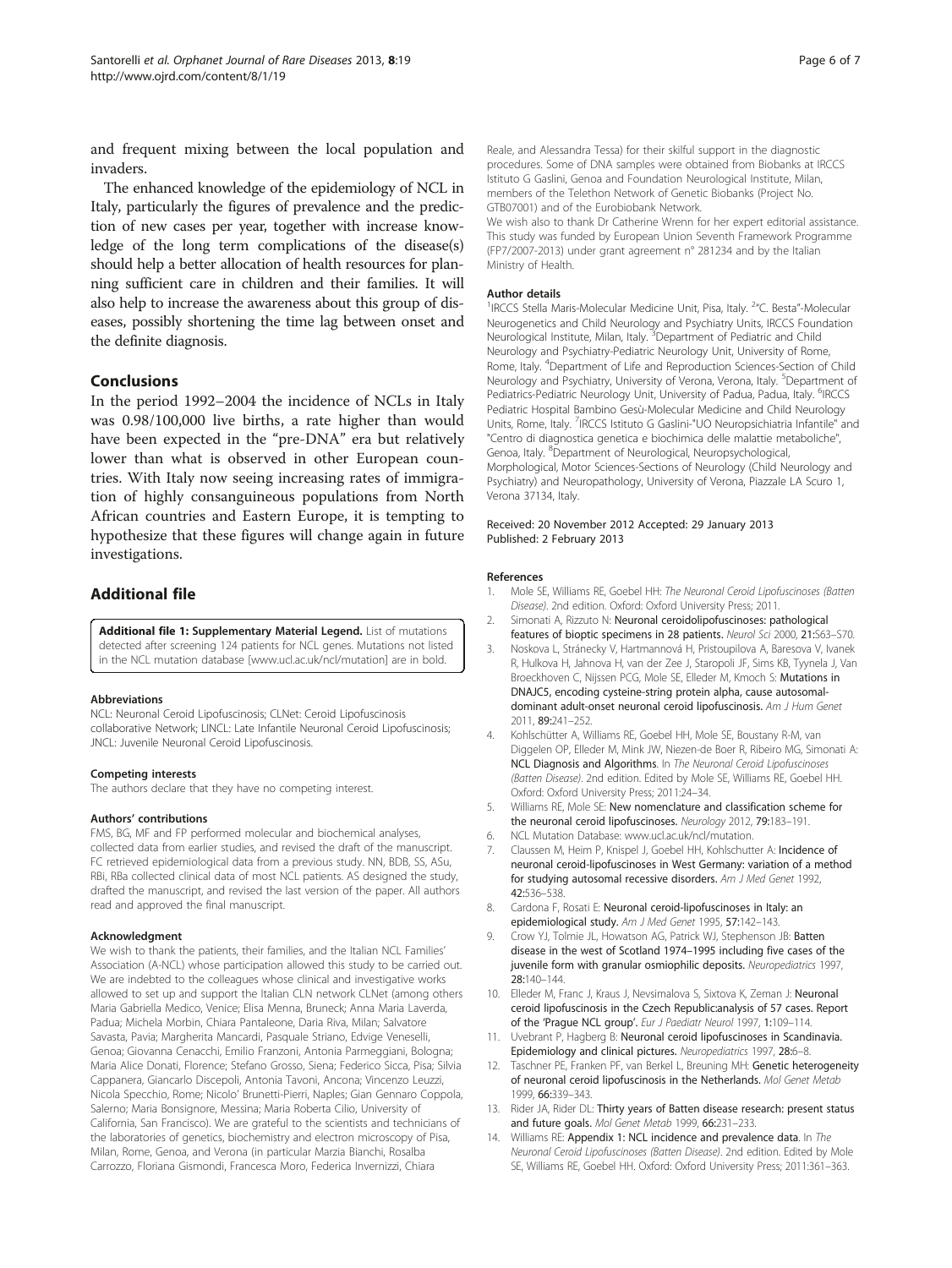<span id="page-5-0"></span>and frequent mixing between the local population and invaders.

The enhanced knowledge of the epidemiology of NCL in Italy, particularly the figures of prevalence and the prediction of new cases per year, together with increase knowledge of the long term complications of the disease(s) should help a better allocation of health resources for planning sufficient care in children and their families. It will also help to increase the awareness about this group of diseases, possibly shortening the time lag between onset and the definite diagnosis.

# Conclusions

In the period 1992–2004 the incidence of NCLs in Italy was 0.98/100,000 live births, a rate higher than would have been expected in the "pre-DNA" era but relatively lower than what is observed in other European countries. With Italy now seeing increasing rates of immigration of highly consanguineous populations from North African countries and Eastern Europe, it is tempting to hypothesize that these figures will change again in future investigations.

# Additional file

[Additional file 1:](http://www.biomedcentral.com/content/supplementary/1750-1172-8-19-S1.xls) Supplementary Material Legend. List of mutations detected after screening 124 patients for NCL genes. Mutations not listed in the NCL mutation database [www.ucl.ac.uk/ncl/mutation] are in bold.

#### Abbreviations

NCL: Neuronal Ceroid Lipofuscinosis; CLNet: Ceroid Lipofuscinosis collaborative Network; LINCL: Late Infantile Neuronal Ceroid Lipofuscinosis; JNCL: Juvenile Neuronal Ceroid Lipofuscinosis.

#### Competing interests

The authors declare that they have no competing interest.

#### Authors' contributions

FMS, BG, MF and FP performed molecular and biochemical analyses, collected data from earlier studies, and revised the draft of the manuscript. FC retrieved epidemiological data from a previous study. NN, BDB, SS, ASu, RBi, RBa collected clinical data of most NCL patients. AS designed the study, drafted the manuscript, and revised the last version of the paper. All authors read and approved the final manuscript.

#### Acknowledgment

We wish to thank the patients, their families, and the Italian NCL Families' Association (A-NCL) whose participation allowed this study to be carried out. We are indebted to the colleagues whose clinical and investigative works allowed to set up and support the Italian CLN network CLNet (among others Maria Gabriella Medico, Venice; Elisa Menna, Bruneck; Anna Maria Laverda, Padua; Michela Morbin, Chiara Pantaleone, Daria Riva, Milan; Salvatore Savasta, Pavia; Margherita Mancardi, Pasquale Striano, Edvige Veneselli, Genoa; Giovanna Cenacchi, Emilio Franzoni, Antonia Parmeggiani, Bologna; Maria Alice Donati, Florence; Stefano Grosso, Siena; Federico Sicca, Pisa; Silvia Cappanera, Giancarlo Discepoli, Antonia Tavoni, Ancona; Vincenzo Leuzzi, Nicola Specchio, Rome; Nicolo' Brunetti-Pierri, Naples; Gian Gennaro Coppola, Salerno; Maria Bonsignore, Messina; Maria Roberta Cilio, University of California, San Francisco). We are grateful to the scientists and technicians of the laboratories of genetics, biochemistry and electron microscopy of Pisa, Milan, Rome, Genoa, and Verona (in particular Marzia Bianchi, Rosalba Carrozzo, Floriana Gismondi, Francesca Moro, Federica Invernizzi, Chiara

Reale, and Alessandra Tessa) for their skilful support in the diagnostic procedures. Some of DNA samples were obtained from Biobanks at IRCCS Istituto G Gaslini, Genoa and Foundation Neurological Institute, Milan, members of the Telethon Network of Genetic Biobanks (Project No. GTB07001) and of the Eurobiobank Network.

We wish also to thank Dr Catherine Wrenn for her expert editorial assistance. This study was funded by European Union Seventh Framework Programme (FP7/2007-2013) under grant agreement n° 281234 and by the Italian Ministry of Health.

#### Author details

<sup>1</sup> IRCCS Stella Maris-Molecular Medicine Unit, Pisa, Italy. <sup>2</sup> "C. Besta"-Molecular Neurogenetics and Child Neurology and Psychiatry Units, IRCCS Foundation Neurological Institute, Milan, Italy.<sup>3</sup> Department of Pediatric and Child Neurology and Psychiatry-Pediatric Neurology Unit, University of Rome, Rome, Italy. <sup>4</sup>Department of Life and Reproduction Sciences-Section of Child Neurology and Psychiatry, University of Verona, Verona, Italy. <sup>5</sup>Department of Pediatrics-Pediatric Neurology Unit, University of Padua, Padua, Italy. <sup>6</sup>IRCCS Pediatric Hospital Bambino Gesù-Molecular Medicine and Child Neurology Units, Rome, Italy. <sup>7</sup>IRCCS Istituto G Gaslini-"UO Neuropsichiatria Infantile" and "Centro di diagnostica genetica e biochimica delle malattie metaboliche", Genoa, Italy. <sup>8</sup>Department of Neurological, Neuropsychological, Morphological, Motor Sciences-Sections of Neurology (Child Neurology and Psychiatry) and Neuropathology, University of Verona, Piazzale LA Scuro 1, Verona 37134, Italy.

#### Received: 20 November 2012 Accepted: 29 January 2013 Published: 2 February 2013

#### References

- Mole SE, Williams RE, Goebel HH: The Neuronal Ceroid Lipofuscinoses (Batten Disease). 2nd edition. Oxford: Oxford University Press; 2011.
- 2. Simonati A, Rizzuto N: Neuronal ceroidolipofuscinoses: pathological features of bioptic specimens in 28 patients. Neurol Sci 2000, 21:S63–S70.
- 3. Noskova L, Stránecky V, Hartmannová H, Pristoupilova A, Baresova V, Ivanek R, Hulkova H, Jahnova H, van der Zee J, Staropoli JF, Sims KB, Tyynela J, Van Broeckhoven C, Nijssen PCG, Mole SE, Elleder M, Kmoch S: Mutations in DNAJC5, encoding cysteine-string protein alpha, cause autosomaldominant adult-onset neuronal ceroid lipofuscinosis. Am J Hum Genet 2011, 89:241–252.
- 4. Kohlschütter A, Williams RE, Goebel HH, Mole SE, Boustany R-M, van Diggelen OP, Elleder M, Mink JW, Niezen-de Boer R, Ribeiro MG, Simonati A: NCL Diagnosis and Algorithms. In The Neuronal Ceroid Lipofuscinoses (Batten Disease). 2nd edition. Edited by Mole SE, Williams RE, Goebel HH. Oxford: Oxford University Press; 2011:24–34.
- 5. Williams RE, Mole SE: New nomenclature and classification scheme for the neuronal ceroid lipofuscinoses. Neurology 2012, 79:183–191.
- NCL Mutation Database: [www.ucl.ac.uk/ncl/mutation](http://www.ucl.ac.uk/ncl/mutation).
- 7. Claussen M, Heim P, Knispel J, Goebel HH, Kohlschutter A: Incidence of neuronal ceroid-lipofuscinoses in West Germany: variation of a method for studying autosomal recessive disorders. Am J Med Genet 1992, 42:536–538.
- 8. Cardona F, Rosati E: Neuronal ceroid-lipofuscinoses in Italy: an epidemiological study. Am J Med Genet 1995, 57:142–143.
- 9. Crow YJ, Tolmie JL, Howatson AG, Patrick WJ, Stephenson JB: Batten disease in the west of Scotland 1974–1995 including five cases of the juvenile form with granular osmiophilic deposits. Neuropediatrics 1997, 28:140–144.
- 10. Elleder M, Franc J, Kraus J, Nevsimalova S, Sixtova K, Zeman J: Neuronal ceroid lipofuscinosis in the Czech Republic:analysis of 57 cases. Report of the 'Prague NCL group'. Eur J Paediatr Neurol 1997, 1:109–114.
- 11. Uvebrant P, Hagberg B: Neuronal ceroid lipofuscinoses in Scandinavia. Epidemiology and clinical pictures. Neuropediatrics 1997, 28:6–8.
- 12. Taschner PE, Franken PF, van Berkel L, Breuning MH: Genetic heterogeneity of neuronal ceroid lipofuscinosis in the Netherlands. Mol Genet Metab 1999, 66:339–343.
- 13. Rider JA, Rider DL: Thirty years of Batten disease research: present status and future goals. Mol Genet Metab 1999, 66:231–233.
- 14. Williams RE: Appendix 1: NCL incidence and prevalence data. In The Neuronal Ceroid Lipofuscinoses (Batten Disease). 2nd edition. Edited by Mole SE, Williams RE, Goebel HH. Oxford: Oxford University Press; 2011:361–363.